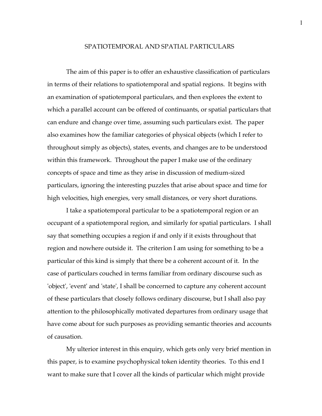# SPATIOTEMPORAL AND SPATIAL PARTICULARS

The aim of this paper is to offer an exhaustive classification of particulars in terms of their relations to spatiotemporal and spatial regions. It begins with an examination of spatiotemporal particulars, and then explores the extent to which a parallel account can be offered of continuants, or spatial particulars that can endure and change over time, assuming such particulars exist. The paper also examines how the familiar categories of physical objects (which I refer to throughout simply as objects), states, events, and changes are to be understood within this framework. Throughout the paper I make use of the ordinary concepts of space and time as they arise in discussion of medium-sized particulars, ignoring the interesting puzzles that arise about space and time for high velocities, high energies, very small distances, or very short durations.

I take a spatiotemporal particular to be a spatiotemporal region or an occupant of a spatiotemporal region, and similarly for spatial particulars. I shall say that something occupies a region if and only if it exists throughout that region and nowhere outside it. The criterion I am using for something to be a particular of this kind is simply that there be a coherent account of it. In the case of particulars couched in terms familiar from ordinary discourse such as 'object', 'event' and 'state', I shall be concerned to capture any coherent account of these particulars that closely follows ordinary discourse, but I shall also pay attention to the philosophically motivated departures from ordinary usage that have come about for such purposes as providing semantic theories and accounts of causation.

My ulterior interest in this enquiry, which gets only very brief mention in this paper, is to examine psychophysical token identity theories. To this end I want to make sure that I cover all the kinds of particular which might provide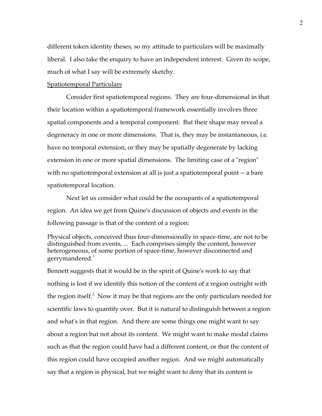different token identity theses, so my attitude to particulars will be maximally liberal. I also take the enquiry to have an independent interest. Given its scope, much of what I say will be extremely sketchy.

#### Spatiotemporal Particulars

Consider first spatiotemporal regions. They are four-dimensional in that their location within a spatiotemporal framework essentially involves three spatial components and a temporal component. But their shape may reveal a degeneracy in one or more dimensions. That is, they may be instantaneous, i.e. have no temporal extension, or they may be spatially degenerate by lacking extension in one or more spatial dimensions. The limiting case of a "region" with no spatiotemporal extension at all is just a spatiotemporal point -- a bare spatiotemporal location.

Next let us consider what could be the occupants of a spatiotemporal region. An idea we get from Quine's discussion of objects and events in the following passage is that of the content of a region:

Physical objects, conceived thus four-dimensionally in space-time, are not to be distinguished from events, ... Each comprises simply the content, however heterogeneous, of some portion of space-time, however disconnected and gerrymandered.<sup>1</sup>

Bennett suggests that it would be in the spirit of Quine's work to say that nothing is lost if we identify this notion of the content of a region outright with the region itself.<sup>2</sup> Now it may be that regions are the only particulars needed for scientific laws to quantify over. But it is natural to distinguish between a region and what's in that region. And there are some things one might want to say about a region but not about its content. We might want to make modal claims such as that the region could have had a different content, or that the content of this region could have occupied another region. And we might automatically say that a region is physical, but we might want to deny that its content is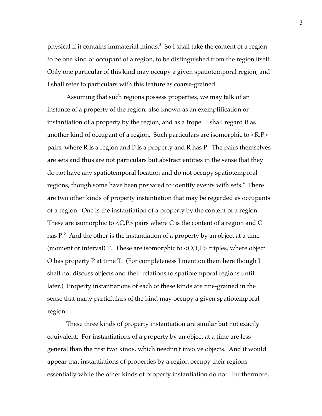physical if it contains immaterial minds.<sup>3</sup> So I shall take the content of a region to be one kind of occupant of a region, to be distinguished from the region itself. Only one particular of this kind may occupy a given spatiotemporal region, and I shall refer to particulars with this feature as coarse-grained.

Assuming that such regions possess properties, we may talk of an instance of a property of the region, also known as an exemplification or instantiation of a property by the region, and as a trope. I shall regard it as another kind of occupant of a region. Such particulars are isomorphic to <R,P> pairs, where R is a region and P is a property and R has P. The pairs themselves are sets and thus are not particulars but abstract entities in the sense that they do not have any spatiotemporal location and do not occupy spatiotemporal regions, though some have been prepared to identify events with sets.<sup>4</sup> There are two other kinds of property instantiation that may be regarded as occupants of a region. One is the instantiation of a property by the content of a region. These are isomorphic to  $\langle C, P \rangle$  pairs where C is the content of a region and C has  $P^5$ . And the other is the instantiation of a property by an object at a time (moment or interval) T. These are isomorphic to  $\langle O, T, P \rangle$  triples, where object O has property P at time T. (For completeness I mention them here though I shall not discuss objects and their relations to spatiotemporal regions until later.) Property instantiations of each of these kinds are fine-grained in the sense that many particfulars of the kind may occupy a given spatiotemporal region.

These three kinds of property instantiation are similar but not exactly equivalent. For instantiations of a property by an object at a time are less general than the first two kinds, which neednn't involve objects. And it would appear that instantiations of properties by a region occupy their regions essentially while the other kinds of property instantiation do not. Furthermore,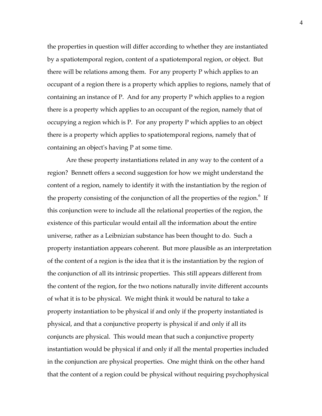the properties in question will differ according to whether they are instantiated by a spatiotemporal region, content of a spatiotemporal region, or object. But there will be relations among them. For any property P which applies to an occupant of a region there is a property which applies to regions, namely that of containing an instance of P. And for any property P which applies to a region there is a property which applies to an occupant of the region, namely that of occupying a region which is P. For any property P which applies to an object there is a property which applies to spatiotemporal regions, namely that of containing an object's having P at some time.

Are these property instantiations related in any way to the content of a region? Bennett offers a second suggestion for how we might understand the content of a region, namely to identify it with the instantiation by the region of the property consisting of the conjunction of all the properties of the region. $6$  If this conjunction were to include all the relational properties of the region, the existence of this particular would entail all the information about the entire universe, rather as a Leibnizian substance has been thought to do. Such a property instantiation appears coherent. But more plausible as an interpretation of the content of a region is the idea that it is the instantiation by the region of the conjunction of all its intrinsic properties. This still appears different from the content of the region, for the two notions naturally invite different accounts of what it is to be physical. We might think it would be natural to take a property instantiation to be physical if and only if the property instantiated is physical, and that a conjunctive property is physical if and only if all its conjuncts are physical. This would mean that such a conjunctive property instantiation would be physical if and only if all the mental properties included in the conjunction are physical properties. One might think on the other hand that the content of a region could be physical without requiring psychophysical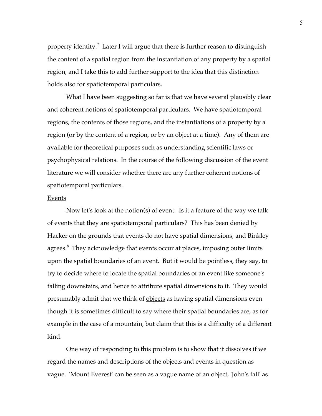property identity.<sup>7</sup> Later I will argue that there is further reason to distinguish the content of a spatial region from the instantiation of any property by a spatial region, and I take this to add further support to the idea that this distinction holds also for spatiotemporal particulars.

What I have been suggesting so far is that we have several plausibly clear and coherent notions of spatiotemporal particulars. We have spatiotemporal regions, the contents of those regions, and the instantiations of a property by a region (or by the content of a region, or by an object at a time). Any of them are available for theoretical purposes such as understanding scientific laws or psychophysical relations. In the course of the following discussion of the event literature we will consider whether there are any further coherent notions of spatiotemporal particulars.

#### Events

Now let's look at the notion(s) of event. Is it a feature of the way we talk of events that they are spatiotemporal particulars? This has been denied by Hacker on the grounds that events do not have spatial dimensions, and Binkley agrees.<sup>8</sup> They acknowledge that events occur at places, imposing outer limits upon the spatial boundaries of an event. But it would be pointless, they say, to try to decide where to locate the spatial boundaries of an event like someone's falling downstairs, and hence to attribute spatial dimensions to it. They would presumably admit that we think of <u>objects</u> as having spatial dimensions even though it is sometimes difficult to say where their spatial boundaries are, as for example in the case of a mountain, but claim that this is a difficulty of a different kind.

One way of responding to this problem is to show that it dissolves if we regard the names and descriptions of the objects and events in question as vague. 'Mount Everest' can be seen as a vague name of an object, 'John's fall' as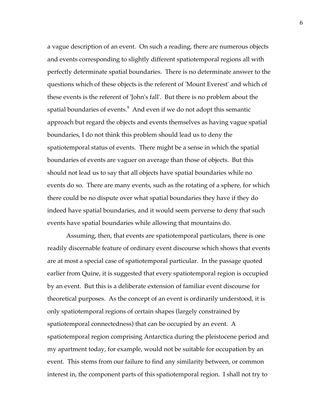a vague description of an event. On such a reading, there are numerous objects and events corresponding to slightly different spatiotemporal regions all with perfectly determinate spatial boundaries. There is no determinate answer to the questions which of these objects is the referent of 'Mount Everest' and which of these events is the referent of 'John's fall'. But there is no problem about the spatial boundaries of events. $^9$  And even if we do not adopt this semantic approach but regard the objects and events themselves as having vague spatial boundaries, I do not think this problem should lead us to deny the spatiotemporal status of events. There might be a sense in which the spatial boundaries of events are vaguer on average than those of objects. But this should not lead us to say that all objects have spatial boundaries while no events do so. There are many events, such as the rotating of a sphere, for which there could be no dispute over what spatial boundaries they have if they do indeed have spatial boundaries, and it would seem perverse to deny that such events have spatial boundaries while allowing that mountains do.

Assuming, then, that events are spatiotemporal particulars, there is one readily discernable feature of ordinary event discourse which shows that events are at most a special case of spatiotemporal particular. In the passage quoted earlier from Quine, it is suggested that every spatiotemporal region is occupied by an event. But this is a deliberate extension of familiar event discourse for theoretical purposes. As the concept of an event is ordinarily understood, it is only spatiotemporal regions of certain shapes (largely constrained by spatiotemporal connectedness) that can be occupied by an event. A spatiotemporal region comprising Antarctica during the pleistocene period and my apartment today, for example, would not be suitable for occupation by an event. This stems from our failure to find any similarity between, or common interest in, the component parts of this spatiotemporal region. I shall not try to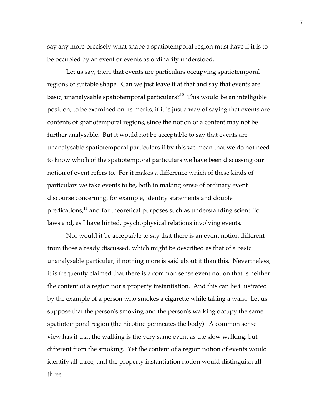say any more precisely what shape a spatiotemporal region must have if it is to be occupied by an event or events as ordinarily understood.

Let us say, then, that events are particulars occupying spatiotemporal regions of suitable shape. Can we just leave it at that and say that events are basic, unanalysable spatiotemporal particulars?<sup>10</sup> This would be an intelligible position, to be examined on its merits, if it is just a way of saying that events are contents of spatiotemporal regions, since the notion of a content may not be further analysable. But it would not be acceptable to say that events are unanalysable spatiotemporal particulars if by this we mean that we do not need to know which of the spatiotemporal particulars we have been discussing our notion of event refers to. For it makes a difference which of these kinds of particulars we take events to be, both in making sense of ordinary event discourse concerning, for example, identity statements and double  $predications<sup>11</sup>$  and for theoretical purposes such as understanding scientific laws and, as I have hinted, psychophysical relations involving events.

Nor would it be acceptable to say that there is an event notion different from those already discussed, which might be described as that of a basic unanalysable particular, if nothing more is said about it than this. Nevertheless, it is frequently claimed that there is a common sense event notion that is neither the content of a region nor a property instantiation. And this can be illustrated by the example of a person who smokes a cigarette while taking a walk. Let us suppose that the person's smoking and the person's walking occupy the same spatiotemporal region (the nicotine permeates the body). A common sense view has it that the walking is the very same event as the slow walking, but different from the smoking. Yet the content of a region notion of events would identify all three, and the property instantiation notion would distinguish all three.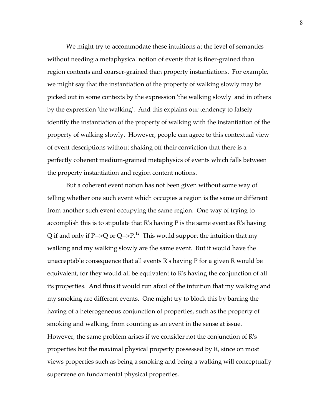We might try to accommodate these intuitions at the level of semantics without needing a metaphysical notion of events that is finer-grained than region contents and coarser-grained than property instantiations. For example, we might say that the instantiation of the property of walking slowly may be picked out in some contexts by the expression 'the walking slowly' and in others by the expression 'the walking'. And this explains our tendency to falsely identify the instantiation of the property of walking with the instantiation of the property of walking slowly. However, people can agree to this contextual view of event descriptions without shaking off their conviction that there is a perfectly coherent medium-grained metaphysics of events which falls between the property instantiation and region content notions.

But a coherent event notion has not been given without some way of telling whether one such event which occupies a region is the same or different from another such event occupying the same region. One way of trying to accomplish this is to stipulate that R's having P is the same event as R's having Q if and only if P-->Q or Q-->P.<sup>12</sup> This would support the intuition that my walking and my walking slowly are the same event. But it would have the unacceptable consequence that all events R's having P for a given R would be equivalent, for they would all be equivalent to R's having the conjunction of all its properties. And thus it would run afoul of the intuition that my walking and my smoking are different events. One might try to block this by barring the having of a heterogeneous conjunction of properties, such as the property of smoking and walking, from counting as an event in the sense at issue. However, the same problem arises if we consider not the conjunction of R's properties but the maximal physical property possessed by R, since on most views properties such as being a smoking and being a walking will conceptually supervene on fundamental physical properties.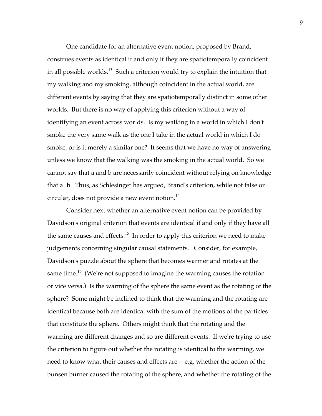One candidate for an alternative event notion, proposed by Brand, construes events as identical if and only if they are spatiotemporally coincident in all possible worlds.<sup>13</sup> Such a criterion would try to explain the intuition that my walking and my smoking, although coincident in the actual world, are different events by saying that they are spatiotemporally distinct in some other worlds. But there is no way of applying this criterion without a way of identifying an event across worlds. Is my walking in a world in which I don't smoke the very same walk as the one I take in the actual world in which I do smoke, or is it merely a similar one? It seems that we have no way of answering unless we know that the walking was the smoking in the actual world. So we cannot say that a and b are necessarily coincident without relying on knowledge that a=b. Thus, as Schlesinger has argued, Brand's criterion, while not false or circular, does not provide a new event notion.<sup>14</sup>

Consider next whether an alternative event notion can be provided by Davidson's original criterion that events are identical if and only if they have all the same causes and effects.<sup>15</sup> In order to apply this criterion we need to make judgements concerning singular causal statements. Consider, for example, Davidson's puzzle about the sphere that becomes warmer and rotates at the same time.<sup>16</sup> (We're not supposed to imagine the warming causes the rotation or vice versa.) Is the warming of the sphere the same event as the rotating of the sphere? Some might be inclined to think that the warming and the rotating are identical because both are identical with the sum of the motions of the particles that constitute the sphere. Others might think that the rotating and the warming are different changes and so are different events. If we're trying to use the criterion to figure out whether the rotating is identical to the warming, we need to know what their causes and effects are -- e.g. whether the action of the bunsen burner caused the rotating of the sphere, and whether the rotating of the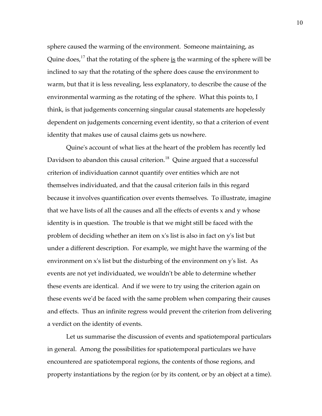sphere caused the warming of the environment. Someone maintaining, as Quine does,<sup>17</sup> that the rotating of the sphere is the warming of the sphere will be inclined to say that the rotating of the sphere does cause the environment to warm, but that it is less revealing, less explanatory, to describe the cause of the environmental warming as the rotating of the sphere. What this points to, I think, is that judgements concerning singular causal statements are hopelessly dependent on judgements concerning event identity, so that a criterion of event identity that makes use of causal claims gets us nowhere.

Quine's account of what lies at the heart of the problem has recently led Davidson to abandon this causal criterion.<sup>18</sup> Quine argued that a successful criterion of individuation cannot quantify over entities which are not themselves individuated, and that the causal criterion fails in this regard because it involves quantification over events themselves. To illustrate, imagine that we have lists of all the causes and all the effects of events x and y whose identity is in question. The trouble is that we might still be faced with the problem of deciding whether an item on x's list is also in fact on y's list but under a different description. For example, we might have the warming of the environment on x's list but the disturbing of the environment on y's list. As events are not yet individuated, we wouldn't be able to determine whether these events are identical. And if we were to try using the criterion again on these events we'd be faced with the same problem when comparing their causes and effects. Thus an infinite regress would prevent the criterion from delivering a verdict on the identity of events.

Let us summarise the discussion of events and spatiotemporal particulars in general. Among the possibilities for spatiotemporal particulars we have encountered are spatiotemporal regions, the contents of those regions, and property instantiations by the region (or by its content, or by an object at a time).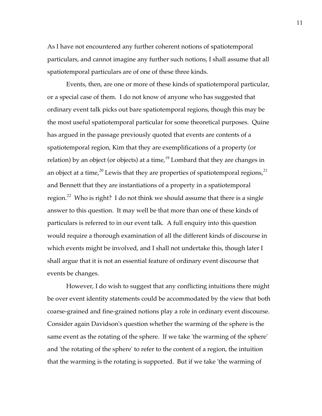As I have not encountered any further coherent notions of spatiotemporal particulars, and cannot imagine any further such notions, I shall assume that all spatiotemporal particulars are of one of these three kinds.

Events, then, are one or more of these kinds of spatiotemporal particular, or a special case of them. I do not know of anyone who has suggested that ordinary event talk picks out bare spatiotemporal regions, though this may be the most useful spatiotemporal particular for some theoretical purposes. Quine has argued in the passage previously quoted that events are contents of a spatiotemporal region, Kim that they are exemplifications of a property (or relation) by an object (or objects) at a time, $19$  Lombard that they are changes in an object at a time,<sup>20</sup> Lewis that they are properties of spatiotemporal regions,<sup>21</sup> and Bennett that they are instantiations of a property in a spatiotemporal region.<sup>22</sup> Who is right? I do not think we should assume that there is a single answer to this question. It may well be that more than one of these kinds of particulars is referred to in our event talk. A full enquiry into this question would require a thorough examination of all the different kinds of discourse in which events might be involved, and I shall not undertake this, though later I shall argue that it is not an essential feature of ordinary event discourse that events be changes.

However, I do wish to suggest that any conflicting intuitions there might be over event identity statements could be accommodated by the view that both coarse-grained and fine-grained notions play a role in ordinary event discourse. Consider again Davidson's question whether the warming of the sphere is the same event as the rotating of the sphere. If we take 'the warming of the sphere' and 'the rotating of the sphere' to refer to the content of a region, the intuition that the warming is the rotating is supported. But if we take 'the warming of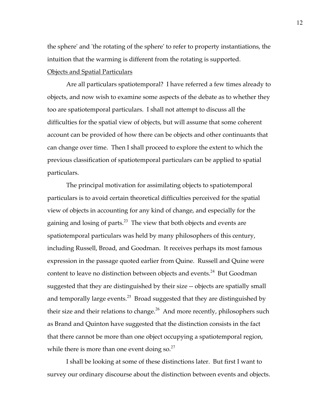the sphere' and 'the rotating of the sphere' to refer to property instantiations, the intuition that the warming is different from the rotating is supported.

# Objects and Spatial Particulars

Are all particulars spatiotemporal? I have referred a few times already to objects, and now wish to examine some aspects of the debate as to whether they too are spatiotemporal particulars. I shall not attempt to discuss all the difficulties for the spatial view of objects, but will assume that some coherent account can be provided of how there can be objects and other continuants that can change over time. Then I shall proceed to explore the extent to which the previous classification of spatiotemporal particulars can be applied to spatial particulars.

The principal motivation for assimilating objects to spatiotemporal particulars is to avoid certain theoretical difficulties perceived for the spatial view of objects in accounting for any kind of change, and especially for the gaining and losing of parts. $^{23}$  The view that both objects and events are spatiotemporal particulars was held by many philosophers of this century, including Russell, Broad, and Goodman. It receives perhaps its most famous expression in the passage quoted earlier from Quine. Russell and Quine were content to leave no distinction between objects and events.<sup>24</sup> But Goodman suggested that they are distinguished by their size -- objects are spatially small and temporally large events.<sup>25</sup> Broad suggested that they are distinguished by their size and their relations to change.<sup>26</sup> And more recently, philosophers such as Brand and Quinton have suggested that the distinction consists in the fact that there cannot be more than one object occupying a spatiotemporal region, while there is more than one event doing so.<sup>27</sup>

I shall be looking at some of these distinctions later. But first I want to survey our ordinary discourse about the distinction between events and objects.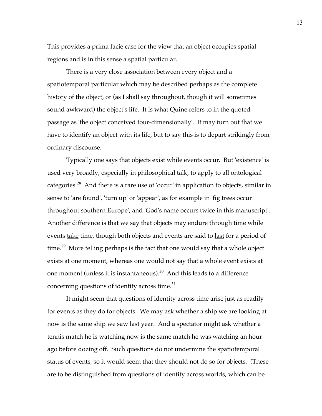This provides a prima facie case for the view that an object occupies spatial regions and is in this sense a spatial particular.

There is a very close association between every object and a spatiotemporal particular which may be described perhaps as the complete history of the object, or (as I shall say throughout, though it will sometimes sound awkward) the object's life. It is what Quine refers to in the quoted passage as 'the object conceived four-dimensionally'. It may turn out that we have to identify an object with its life, but to say this is to depart strikingly from ordinary discourse.

Typically one says that objects exist while events occur. But 'existence' is used very broadly, especially in philosophical talk, to apply to all ontological categories.<sup>28</sup> And there is a rare use of 'occur' in application to objects, similar in sense to 'are found', 'turn up' or 'appear', as for example in 'fig trees occur throughout southern Europe', and 'God's name occurs twice in this manuscript'. Another difference is that we say that objects may endure through time while events <u>take</u> time, though both objects and events are said to <u>last</u> for a period of time.<sup>29</sup> More telling perhaps is the fact that one would say that a whole object exists at one moment, whereas one would not say that a whole event exists at one moment (unless it is instantaneous). $30$  And this leads to a difference concerning questions of identity across time.<sup>31</sup>

It might seem that questions of identity across time arise just as readily for events as they do for objects. We may ask whether a ship we are looking at now is the same ship we saw last year. And a spectator might ask whether a tennis match he is watching now is the same match he was watching an hour ago before dozing off. Such questions do not undermine the spatiotemporal status of events, so it would seem that they should not do so for objects. (These are to be distinguished from questions of identity across worlds, which can be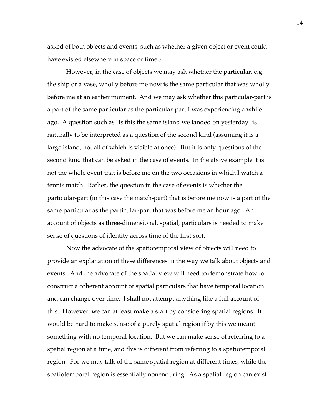asked of both objects and events, such as whether a given object or event could have existed elsewhere in space or time.)

However, in the case of objects we may ask whether the particular, e.g. the ship or a vase, wholly before me now is the same particular that was wholly before me at an earlier moment. And we may ask whether this particular-part is a part of the same particular as the particular-part I was experiencing a while ago. A question such as "Is this the same island we landed on yesterday" is naturally to be interpreted as a question of the second kind (assuming it is a large island, not all of which is visible at once). But it is only questions of the second kind that can be asked in the case of events. In the above example it is not the whole event that is before me on the two occasions in which I watch a tennis match. Rather, the question in the case of events is whether the particular-part (in this case the match-part) that is before me now is a part of the same particular as the particular-part that was before me an hour ago. An account of objects as three-dimensional, spatial, particulars is needed to make sense of questions of identity across time of the first sort.

Now the advocate of the spatiotemporal view of objects will need to provide an explanation of these differences in the way we talk about objects and events. And the advocate of the spatial view will need to demonstrate how to construct a coherent account of spatial particulars that have temporal location and can change over time. I shall not attempt anything like a full account of this. However, we can at least make a start by considering spatial regions. It would be hard to make sense of a purely spatial region if by this we meant something with no temporal location. But we can make sense of referring to a spatial region at a time, and this is different from referring to a spatiotemporal region. For we may talk of the same spatial region at different times, while the spatiotemporal region is essentially nonenduring. As a spatial region can exist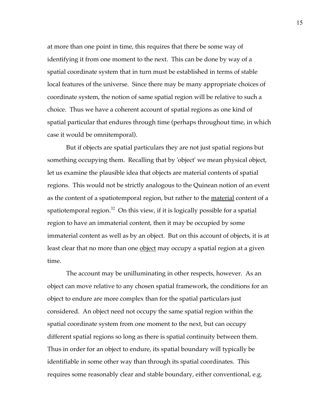at more than one point in time, this requires that there be some way of identifying it from one moment to the next. This can be done by way of a spatial coordinate system that in turn must be established in terms of stable local features of the universe. Since there may be many appropriate choices of coordinate system, the notion of same spatial region will be relative to such a choice. Thus we have a coherent account of spatial regions as one kind of spatial particular that endures through time (perhaps throughout time, in which case it would be omnitemporal).

But if objects are spatial particulars they are not just spatial regions but something occupying them. Recalling that by 'object' we mean physical object, let us examine the plausible idea that objects are material contents of spatial regions. This would not be strictly analogous to the Quinean notion of an event as the content of a spatiotemporal region, but rather to the <u>material</u> content of a spatiotemporal region. $32$  On this view, if it is logically possible for a spatial region to have an immaterial content, then it may be occupied by some immaterial content as well as by an object. But on this account of objects, it is at least clear that no more than one <u>object</u> may occupy a spatial region at a given time.

The account may be unilluminating in other respects, however. As an object can move relative to any chosen spatial framework, the conditions for an object to endure are more complex than for the spatial particulars just considered. An object need not occupy the same spatial region within the spatial coordinate system from one moment to the next, but can occupy different spatial regions so long as there is spatial continuity between them. Thus in order for an object to endure, its spatial boundary will typically be identifiable in some other way than through its spatial coordinates. This requires some reasonably clear and stable boundary, either conventional, e.g.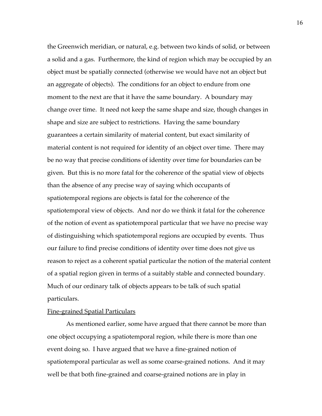the Greenwich meridian, or natural, e.g. between two kinds of solid, or between a solid and a gas. Furthermore, the kind of region which may be occupied by an object must be spatially connected (otherwise we would have not an object but an aggregate of objects). The conditions for an object to endure from one moment to the next are that it have the same boundary. A boundary may change over time. It need not keep the same shape and size, though changes in shape and size are subject to restrictions. Having the same boundary guarantees a certain similarity of material content, but exact similarity of material content is not required for identity of an object over time. There may be no way that precise conditions of identity over time for boundaries can be given. But this is no more fatal for the coherence of the spatial view of objects than the absence of any precise way of saying which occupants of spatiotemporal regions are objects is fatal for the coherence of the spatiotemporal view of objects. And nor do we think it fatal for the coherence of the notion of event as spatiotemporal particular that we have no precise way of distinguishing which spatiotemporal regions are occupied by events. Thus our failure to find precise conditions of identity over time does not give us reason to reject as a coherent spatial particular the notion of the material content of a spatial region given in terms of a suitably stable and connected boundary. Much of our ordinary talk of objects appears to be talk of such spatial particulars.

# Fine-grained Spatial Particulars

As mentioned earlier, some have argued that there cannot be more than one object occupying a spatiotemporal region, while there is more than one event doing so. I have argued that we have a fine-grained notion of spatiotemporal particular as well as some coarse-grained notions. And it may well be that both fine-grained and coarse-grained notions are in play in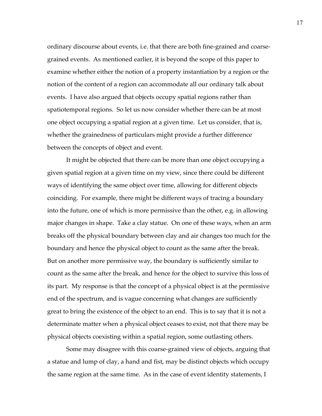ordinary discourse about events, i.e. that there are both fine-grained and coarsegrained events. As mentioned earlier, it is beyond the scope of this paper to examine whether either the notion of a property instantiation by a region or the notion of the content of a region can accommodate all our ordinary talk about events. I have also argued that objects occupy spatial regions rather than spatiotemporal regions. So let us now consider whether there can be at most one object occupying a spatial region at a given time. Let us consider, that is, whether the grainedness of particulars might provide a further difference between the concepts of object and event.

It might be objected that there can be more than one object occupying a given spatial region at a given time on my view, since there could be different ways of identifying the same object over time, allowing for different objects coinciding. For example, there might be different ways of tracing a boundary into the future, one of which is more permissive than the other, e.g. in allowing major changes in shape. Take a clay statue. On one of these ways, when an arm breaks off the physical boundary between clay and air changes too much for the boundary and hence the physical object to count as the same after the break. But on another more permissive way, the boundary is sufficiently similar to count as the same after the break, and hence for the object to survive this loss of its part. My response is that the concept of a physical object is at the permissive end of the spectrum, and is vague concerning what changes are sufficiently great to bring the existence of the object to an end. This is to say that it is not a determinate matter when a physical object ceases to exist, not that there may be physical objects coexisting within a spatial region, some outlasting others.

Some may disagree with this coarse-grained view of objects, arguing that a statue and lump of clay, a hand and fist, may be distinct objects which occupy the same region at the same time. As in the case of event identity statements, I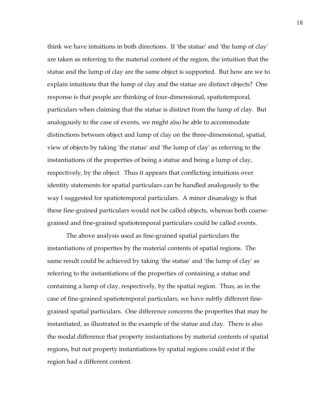think we have intuitions in both directions. If 'the statue' and 'the lump of clay' are taken as referring to the material content of the region, the intuition that the statue and the lump of clay are the same object is supported. But how are we to explain intuitions that the lump of clay and the statue are distinct objects? One response is that people are thinking of four-dimensional, spatiotemporal, particulars when claiming that the statue is distinct from the lump of clay. But analogously to the case of events, we might also be able to accommodate distinctions between object and lump of clay on the three-dimensional, spatial, view of objects by taking 'the statue' and 'the lump of clay' as referring to the instantiations of the properties of being a statue and being a lump of clay, respectively, by the object. Thus it appears that conflicting intuitions over identity statements for spatial particulars can be handled analogously to the way I suggested for spatiotemporal particulars. A minor disanalogy is that these fine-grained particulars would not be called objects, whereas both coarsegrained and fine-grained spatiotemporal particulars could be called events.

The above analysis used as fine-grained spatial particulars the instantiations of properties by the material contents of spatial regions. The same result could be achieved by taking 'the statue' and 'the lump of clay' as referring to the instantiations of the properties of containing a statue and containing a lump of clay, respectively, by the spatial region. Thus, as in the case of fine-grained spatiotemporal particulars, we have subtly different finegrained spatial particulars. One difference concerns the properties that may be instantiated, as illustrated in the example of the statue and clay. There is also the modal difference that property instantiations by material contents of spatial regions, but not property instantiations by spatial regions could exist if the region had a different content.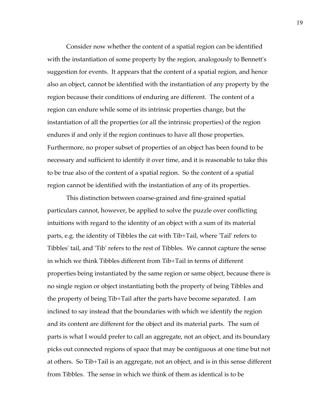Consider now whether the content of a spatial region can be identified with the instantiation of some property by the region, analogously to Bennett's suggestion for events. It appears that the content of a spatial region, and hence also an object, cannot be identified with the instantiation of any property by the region because their conditions of enduring are different. The content of a region can endure while some of its intrinsic properties change, but the instantiation of all the properties (or all the intrinsic properties) of the region endures if and only if the region continues to have all those properties. Furthermore, no proper subset of properties of an object has been found to be necessary and sufficient to identify it over time, and it is reasonable to take this to be true also of the content of a spatial region. So the content of a spatial region cannot be identified with the instantiation of any of its properties.

This distinction between coarse-grained and fine-grained spatial particulars cannot, however, be applied to solve the puzzle over conflicting intuitions with regard to the identity of an object with a sum of its material parts, e.g. the identity of Tibbles the cat with Tib+Tail, where 'Tail' refers to Tibbles' tail, and 'Tib' refers to the rest of Tibbles. We cannot capture the sense in which we think Tibbles different from Tib+Tail in terms of different properties being instantiated by the same region or same object, because there is no single region or object instantiating both the property of being Tibbles and the property of being Tib+Tail after the parts have become separated. I am inclined to say instead that the boundaries with which we identify the region and its content are different for the object and its material parts. The sum of parts is what I would prefer to call an aggregate, not an object, and its boundary picks out connected regions of space that may be contiguous at one time but not at others. So Tib+Tail is an aggregate, not an object, and is in this sense different from Tibbles. The sense in which we think of them as identical is to be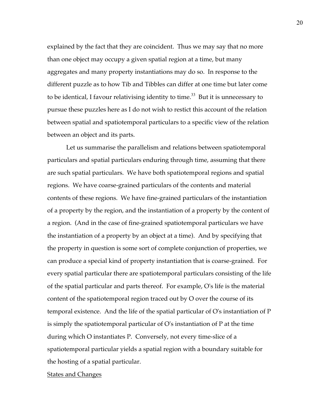explained by the fact that they are coincident. Thus we may say that no more than one object may occupy a given spatial region at a time, but many aggregates and many property instantiations may do so. In response to the different puzzle as to how Tib and Tibbles can differ at one time but later come to be identical, I favour relativising identity to time.<sup>33</sup> But it is unnecessary to pursue these puzzles here as I do not wish to restict this account of the relation between spatial and spatiotemporal particulars to a specific view of the relation between an object and its parts.

Let us summarise the parallelism and relations between spatiotemporal particulars and spatial particulars enduring through time, assuming that there are such spatial particulars. We have both spatiotemporal regions and spatial regions. We have coarse-grained particulars of the contents and material contents of these regions. We have fine-grained particulars of the instantiation of a property by the region, and the instantiation of a property by the content of a region. (And in the case of fine-grained spatiotemporal particulars we have the instantiation of a property by an object at a time). And by specifying that the property in question is some sort of complete conjunction of properties, we can produce a special kind of property instantiation that is coarse-grained. For every spatial particular there are spatiotemporal particulars consisting of the life of the spatial particular and parts thereof. For example, O's life is the material content of the spatiotemporal region traced out by O over the course of its temporal existence. And the life of the spatial particular of O's instantiation of P is simply the spatiotemporal particular of O's instantiation of P at the time during which O instantiates P. Conversely, not every time-slice of a spatiotemporal particular yields a spatial region with a boundary suitable for the hosting of a spatial particular.

# **States and Changes**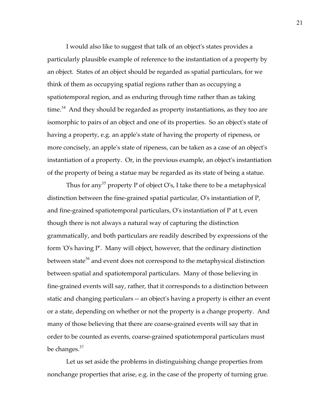I would also like to suggest that talk of an object's states provides a particularly plausible example of reference to the instantiation of a property by an object. States of an object should be regarded as spatial particulars, for we think of them as occupying spatial regions rather than as occupying a spatiotemporal region, and as enduring through time rather than as taking time.<sup>34</sup> And they should be regarded as property instantiations, as they too are isomorphic to pairs of an object and one of its properties. So an object's state of having a property, e.g. an apple's state of having the property of ripeness, or more concisely, an apple's state of ripeness, can be taken as a case of an object's instantiation of a property. Or, in the previous example, an object's instantiation of the property of being a statue may be regarded as its state of being a statue.

Thus for any<sup>35</sup> property P of object O's, I take there to be a metaphysical distinction between the fine-grained spatial particular, O's instantiation of P, and fine-grained spatiotemporal particulars, O's instantiation of P at t, even though there is not always a natural way of capturing the distinction grammatically, and both particulars are readily described by expressions of the form 'O's having P'. Many will object, however, that the ordinary distinction between state<sup>36</sup> and event does not correspond to the metaphysical distinction between spatial and spatiotemporal particulars. Many of those believing in fine-grained events will say, rather, that it corresponds to a distinction between static and changing particulars -- an object's having a property is either an event or a state, depending on whether or not the property is a change property. And many of those believing that there are coarse-grained events will say that in order to be counted as events, coarse-grained spatiotemporal particulars must be changes.<sup>37</sup>

Let us set aside the problems in distinguishing change properties from nonchange properties that arise, e.g. in the case of the property of turning grue.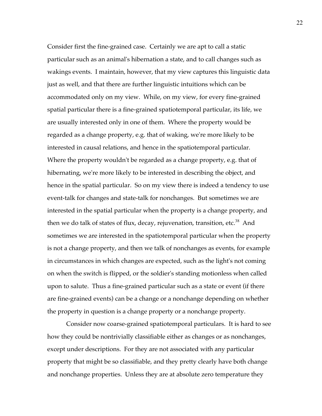Consider first the fine-grained case. Certainly we are apt to call a static particular such as an animal's hibernation a state, and to call changes such as wakings events. I maintain, however, that my view captures this linguistic data just as well, and that there are further linguistic intuitions which can be accommodated only on my view. While, on my view, for every fine-grained spatial particular there is a fine-grained spatiotemporal particular, its life, we are usually interested only in one of them. Where the property would be regarded as a change property, e.g. that of waking, we're more likely to be interested in causal relations, and hence in the spatiotemporal particular. Where the property wouldn't be regarded as a change property, e.g. that of hibernating, we're more likely to be interested in describing the object, and hence in the spatial particular. So on my view there is indeed a tendency to use event-talk for changes and state-talk for nonchanges. But sometimes we are interested in the spatial particular when the property is a change property, and then we do talk of states of flux, decay, rejuvenation, transition, etc. $38$  And sometimes we are interested in the spatiotemporal particular when the property is not a change property, and then we talk of nonchanges as events, for example in circumstances in which changes are expected, such as the light's not coming on when the switch is flipped, or the soldier's standing motionless when called upon to salute. Thus a fine-grained particular such as a state or event (if there are fine-grained events) can be a change or a nonchange depending on whether the property in question is a change property or a nonchange property.

Consider now coarse-grained spatiotemporal particulars. It is hard to see how they could be nontrivially classifiable either as changes or as nonchanges, except under descriptions. For they are not associated with any particular property that might be so classifiable, and they pretty clearly have both change and nonchange properties. Unless they are at absolute zero temperature they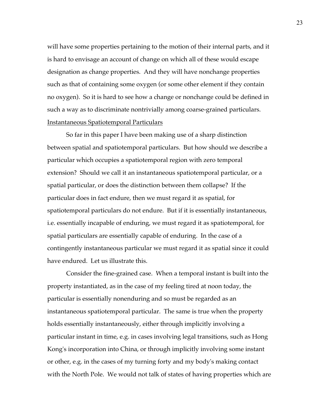will have some properties pertaining to the motion of their internal parts, and it is hard to envisage an account of change on which all of these would escape designation as change properties. And they will have nonchange properties such as that of containing some oxygen (or some other element if they contain no oxygen). So it is hard to see how a change or nonchange could be defined in such a way as to discriminate nontrivially among coarse-grained particulars. Instantaneous Spatiotemporal Particulars

So far in this paper I have been making use of a sharp distinction between spatial and spatiotemporal particulars. But how should we describe a particular which occupies a spatiotemporal region with zero temporal extension? Should we call it an instantaneous spatiotemporal particular, or a spatial particular, or does the distinction between them collapse? If the particular does in fact endure, then we must regard it as spatial, for spatiotemporal particulars do not endure. But if it is essentially instantaneous, i.e. essentially incapable of enduring, we must regard it as spatiotemporal, for spatial particulars are essentially capable of enduring. In the case of a contingently instantaneous particular we must regard it as spatial since it could have endured. Let us illustrate this.

Consider the fine-grained case. When a temporal instant is built into the property instantiated, as in the case of my feeling tired at noon today, the particular is essentially nonenduring and so must be regarded as an instantaneous spatiotemporal particular. The same is true when the property holds essentially instantaneously, either through implicitly involving a particular instant in time, e.g. in cases involving legal transitions, such as Hong Kong's incorporation into China, or through implicitly involving some instant or other, e.g. in the cases of my turning forty and my body's making contact with the North Pole. We would not talk of states of having properties which are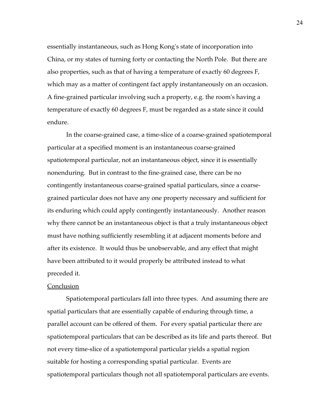essentially instantaneous, such as Hong Kong's state of incorporation into China, or my states of turning forty or contacting the North Pole. But there are also properties, such as that of having a temperature of exactly 60 degrees F, which may as a matter of contingent fact apply instantaneously on an occasion. A fine-grained particular involving such a property, e.g. the room's having a temperature of exactly 60 degrees F, must be regarded as a state since it could endure.

In the coarse-grained case, a time-slice of a coarse-grained spatiotemporal particular at a specified moment is an instantaneous coarse-grained spatiotemporal particular, not an instantaneous object, since it is essentially nonenduring. But in contrast to the fine-grained case, there can be no contingently instantaneous coarse-grained spatial particulars, since a coarsegrained particular does not have any one property necessary and sufficient for its enduring which could apply contingently instantaneously. Another reason why there cannot be an instantaneous object is that a truly instantaneous object must have nothing sufficiently resembling it at adjacent moments before and after its existence. It would thus be unobservable, and any effect that might have been attributed to it would properly be attributed instead to what preceded it.

### **Conclusion**

Spatiotemporal particulars fall into three types. And assuming there are spatial particulars that are essentially capable of enduring through time, a parallel account can be offered of them. For every spatial particular there are spatiotemporal particulars that can be described as its life and parts thereof. But not every time-slice of a spatiotemporal particular yields a spatial region suitable for hosting a corresponding spatial particular. Events are spatiotemporal particulars though not all spatiotemporal particulars are events.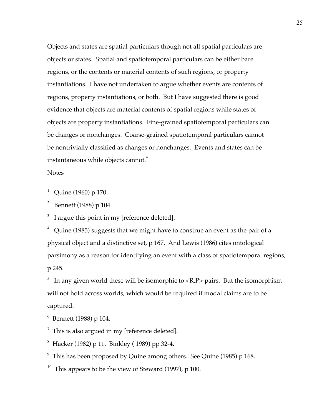Objects and states are spatial particulars though not all spatial particulars are objects or states. Spatial and spatiotemporal particulars can be either bare regions, or the contents or material contents of such regions, or property instantiations. I have not undertaken to argue whether events are contents of regions, property instantiations, or both. But I have suggested there is good evidence that objects are material contents of spatial regions while states of objects are property instantiations. Fine-grained spatiotemporal particulars can be changes or nonchanges. Coarse-grained spatiotemporal particulars cannot be nontrivially classified as changes or nonchanges. Events and states can be instantaneous while objects cannot.\*

Notes

 $\overline{a}$ 

<sup>1</sup> Quine (1960) p 170.

<sup>2</sup> Bennett (1988) p 104.

 $3\;\;$  I argue this point in my [reference deleted].

 $4$  Quine (1985) suggests that we might have to construe an event as the pair of a physical object and a distinctive set, p 167. And Lewis (1986) cites ontological parsimony as a reason for identifying an event with a class of spatiotemporal regions, p 245.

<sup>5</sup> In any given world these will be isomorphic to  $\langle R, P \rangle$  pairs. But the isomorphism will not hold across worlds, which would be required if modal claims are to be captured.

6 Bennett (1988) p 104.

 $^7$  This is also argued in my [reference deleted].

 $^8$  Hacker (1982) p 11. Binkley (1989) pp 32-4.

<sup>9</sup> This has been proposed by Quine among others. See Quine (1985) p 168.

<sup>10</sup> This appears to be the view of Steward (1997), p 100.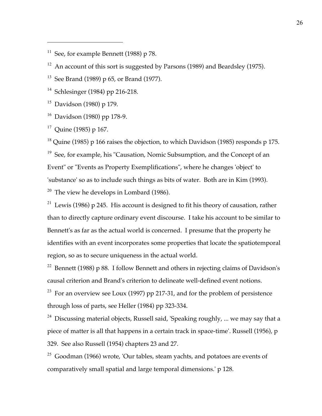<sup>12</sup> An account of this sort is suggested by Parsons (1989) and Beardsley (1975).

<sup>13</sup> See Brand (1989) p 65, or Brand (1977).

<sup>14</sup> Schlesinger (1984) pp 216-218.

 $15$  Davidson (1980) p 179.

 $\overline{a}$ 

 $16$  Davidson (1980) pp 178-9.

 $17$  Quine (1985) p 167.

<sup>18</sup> Quine (1985) p 166 raises the objection, to which Davidson (1985) responds p 175.

 $19$  See, for example, his "Causation, Nomic Subsumption, and the Concept of an Event" or "Events as Property Exemplifications", where he changes 'object' to 'substance' so as to include such things as bits of water. Both are in Kim (1993). <sup>20</sup> The view he develops in Lombard (1986).

<sup>21</sup> Lewis (1986) p 245. His account is designed to fit his theory of causation, rather than to directly capture ordinary event discourse. I take his account to be similar to Bennett's as far as the actual world is concerned. I presume that the property he identifies with an event incorporates some properties that locate the spatiotemporal region, so as to secure uniqueness in the actual world.

<sup>22</sup> Bennett (1988) p 88. I follow Bennett and others in rejecting claims of Davidson's causal criterion and Brand's criterion to delineate well-defined event notions.

 $23$  For an overview see Loux (1997) pp 217-31, and for the problem of persistence through loss of parts, see Heller (1984) pp 323-334.

<sup>24</sup> Discussing material objects, Russell said, 'Speaking roughly, ... we may say that a piece of matter is all that happens in a certain track in space-time'. Russell (1956), p 329. See also Russell (1954) chapters 23 and 27.

 $25$  Goodman (1966) wrote, 'Our tables, steam yachts, and potatoes are events of comparatively small spatial and large temporal dimensions.' p 128.

<sup>&</sup>lt;sup>11</sup> See, for example Bennett (1988) p 78.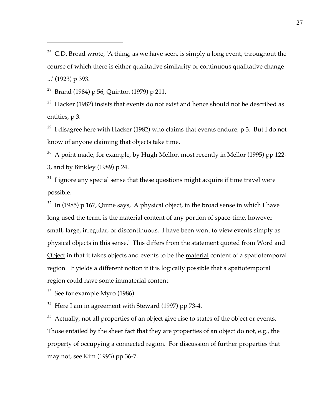<sup>26</sup> C.D. Broad wrote, 'A thing, as we have seen, is simply a long event, throughout the course of which there is either qualitative similarity or continuous qualitative change ...' (1923) p 393.

<sup>27</sup> Brand (1984) p 56, Quinton (1979) p 211.

 $\overline{a}$ 

 $28$  Hacker (1982) insists that events do not exist and hence should not be described as entities, p 3.

<sup>29</sup> I disagree here with Hacker (1982) who claims that events endure, p 3. But I do not know of anyone claiming that objects take time.

 $30$  A point made, for example, by Hugh Mellor, most recently in Mellor (1995) pp 122-3, and by Binkley (1989) p 24.

 $31$  I ignore any special sense that these questions might acquire if time travel were possible.

 $32$  In (1985) p 167, Quine says, 'A physical object, in the broad sense in which I have long used the term, is the material content of any portion of space-time, however small, large, irregular, or discontinuous. I have been wont to view events simply as physical objects in this sense.' This differs from the statement quoted from Word and Object in that it takes objects and events to be the material content of a spatiotemporal region. It yields a different notion if it is logically possible that a spatiotemporal region could have some immaterial content.

 $33$  See for example Myro (1986).

 $34$  Here I am in agreement with Steward (1997) pp 73-4.

<sup>35</sup> Actually, not all properties of an object give rise to states of the object or events. Those entailed by the sheer fact that they are properties of an object do not, e.g., the property of occupying a connected region. For discussion of further properties that may not, see Kim (1993) pp 36-7.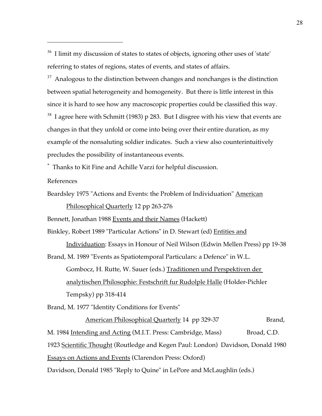$36$  I limit my discussion of states to states of objects, ignoring other uses of 'state' referring to states of regions, states of events, and states of affairs.

 $37$  Analogous to the distinction between changes and nonchanges is the distinction between spatial heterogeneity and homogeneity. But there is little interest in this since it is hard to see how any macroscopic properties could be classified this way.  $38$  I agree here with Schmitt (1983) p 283. But I disgree with his view that events are changes in that they unfold or come into being over their entire duration, as my example of the nonsaluting soldier indicates. Such a view also counterintuitively precludes the possibility of instantaneous events.

\* Thanks to Kit Fine and Achille Varzi for helpful discussion.

References

 $\overline{a}$ 

Beardsley 1975 "Actions and Events: the Problem of Individuation" American

Philosophical Quarterly 12 pp 263-276

Bennett, Jonathan 1988 Events and their Names (Hackett)

Binkley, Robert 1989 "Particular Actions" in D. Stewart (ed) Entities and

Individuation: Essays in Honour of Neil Wilson (Edwin Mellen Press) pp 19-38

Brand, M. 1989 "Events as Spatiotemporal Particulars: a Defence" in W.L.

Gombocz, H. Rutte, W. Sauer (eds.) Traditionen und Perspektiven der analytischen Philosophie: Festschrift fur Rudolple Halle (Holder-Pichler Tempsky) pp 318-414

Brand, M. 1977 "Identity Conditions for Events"

American Philosophical Quarterly 14 pp 329-37 Brand,

M. 1984 Intending and Acting (M.I.T. Press: Cambridge, Mass) Broad, C.D.

1923 Scientific Thought (Routledge and Kegen Paul: London) Davidson, Donald 1980

Essays on Actions and Events (Clarendon Press: Oxford)

Davidson, Donald 1985 "Reply to Quine" in LePore and McLaughlin (eds.)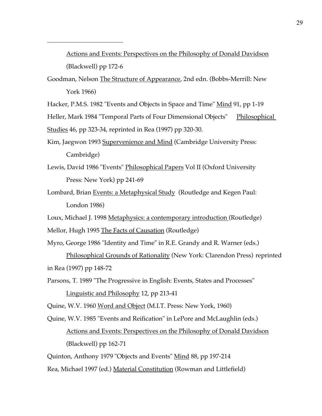Actions and Events: Perspectives on the Philosophy of Donald Davidson (Blackwell) pp 172-6

Goodman, Nelson The Structure of Appearance, 2nd edn. (Bobbs-Merrill: New York 1966)

Hacker, P.M.S. 1982 "Events and Objects in Space and Time" Mind 91, pp 1-19

Heller, Mark 1984 "Temporal Parts of Four Dimensional Objects" Philosophical

Studies 46, pp 323-34, reprinted in Rea (1997) pp 320-30.

 $\overline{a}$ 

- Kim, Jaegwon 1993 Supervenience and Mind (Cambridge University Press: Cambridge)
- Lewis, David 1986 "Events" Philosophical Papers Vol II (Oxford University Press: New York) pp 241-69
- Lombard, Brian Events: a Metaphysical Study (Routledge and Kegen Paul: London 1986)
- Loux, Michael J. 1998 Metaphysics: a contemporary introduction (Routledge) Mellor, Hugh 1995 The Facts of Causation (Routledge)
- Myro, George 1986 "Identity and Time" in R.E. Grandy and R. Warner (eds.)

Philosophical Grounds of Rationality (New York: Clarendon Press) reprinted in Rea (1997) pp 148-72

Parsons, T. 1989 "The Progressive in English: Events, States and Processes"

Linguistic and Philosophy 12, pp 213-41

Quine, W.V. 1960 Word and Object (M.I.T. Press: New York, 1960)

Quine, W.V. 1985 "Events and Reification" in LePore and McLaughlin (eds.)

# Actions and Events: Perspectives on the Philosophy of Donald Davidson (Blackwell) pp 162-71

Quinton, Anthony 1979 "Objects and Events" Mind 88, pp 197-214

Rea, Michael 1997 (ed.) Material Constitution (Rowman and Littlefield)